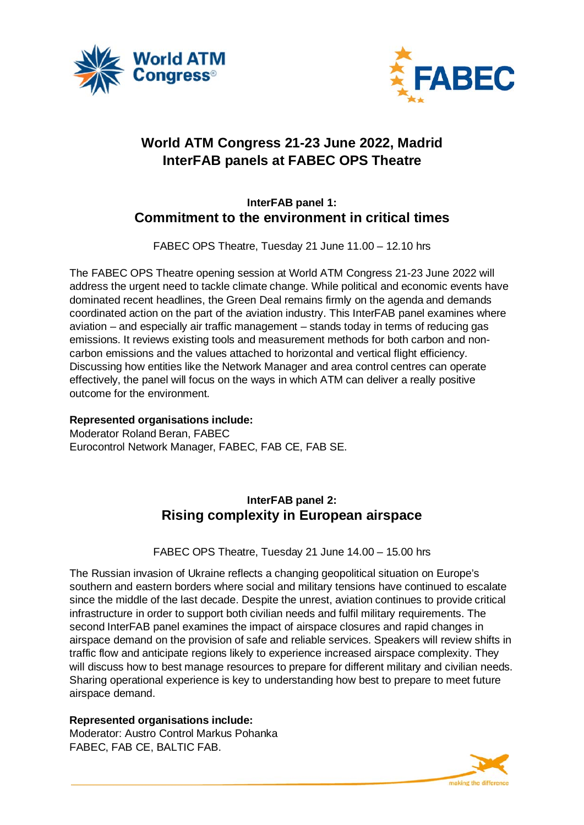



# **World ATM Congress 21-23 June 2022, Madrid InterFAB panels at FABEC OPS Theatre**

# **InterFAB panel 1: Commitment to the environment in critical times**

FABEC OPS Theatre, Tuesday 21 June 11.00 – 12.10 hrs

The FABEC OPS Theatre opening session at World ATM Congress 21-23 June 2022 will address the urgent need to tackle climate change. While political and economic events have dominated recent headlines, the Green Deal remains firmly on the agenda and demands coordinated action on the part of the aviation industry. This InterFAB panel examines where aviation – and especially air traffic management – stands today in terms of reducing gas emissions. It reviews existing tools and measurement methods for both carbon and noncarbon emissions and the values attached to horizontal and vertical flight efficiency. Discussing how entities like the Network Manager and area control centres can operate effectively, the panel will focus on the ways in which ATM can deliver a really positive outcome for the environment.

### **Represented organisations include:**

Moderator Roland Beran, FABEC Eurocontrol Network Manager, FABEC, FAB CE, FAB SE.

# **InterFAB panel 2: Rising complexity in European airspace**

### FABEC OPS Theatre, Tuesday 21 June 14.00 – 15.00 hrs

The Russian invasion of Ukraine reflects a changing geopolitical situation on Europe's southern and eastern borders where social and military tensions have continued to escalate since the middle of the last decade. Despite the unrest, aviation continues to provide critical infrastructure in order to support both civilian needs and fulfil military requirements. The second InterFAB panel examines the impact of airspace closures and rapid changes in airspace demand on the provision of safe and reliable services. Speakers will review shifts in traffic flow and anticipate regions likely to experience increased airspace complexity. They will discuss how to best manage resources to prepare for different military and civilian needs. Sharing operational experience is key to understanding how best to prepare to meet future airspace demand.

**Represented organisations include:** Moderator: Austro Control Markus Pohanka FABEC, FAB CE, BALTIC FAB.